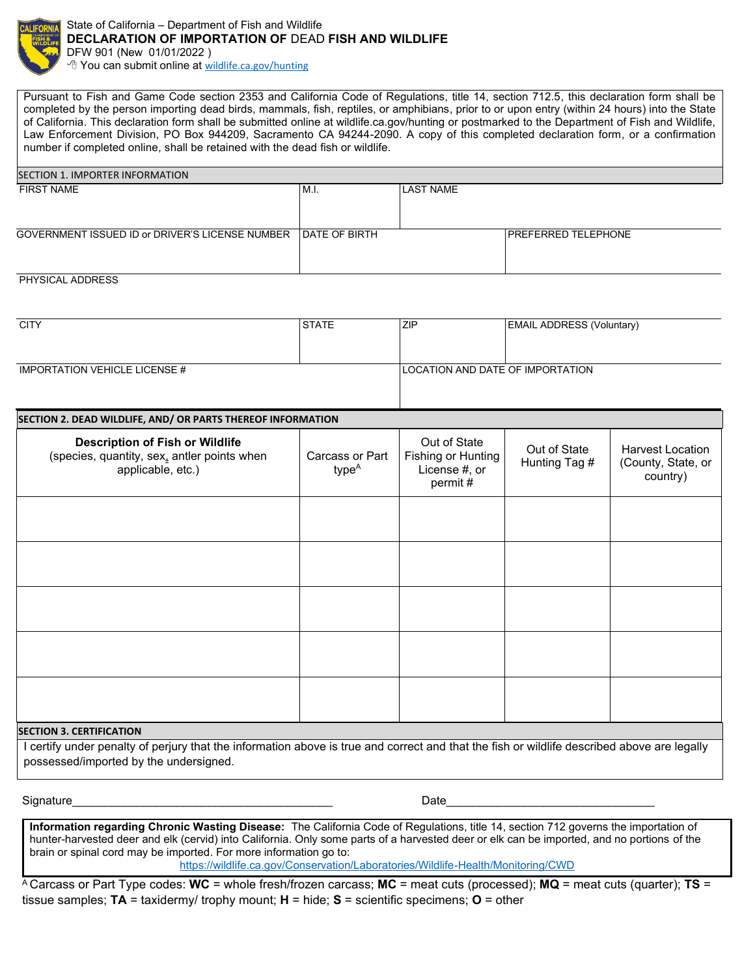

State of California – Department of Fish and Wildlife **DECLARATION OF IMPORTATION OF** DEAD **FISH AND WILDLIFE** DFW 901 (New 01/01/2022 ) <sup>t</sup> You can submit online at [wildlife.ca.gov/hunting](mailto:LED@wildlife.ca.gov/)

Pursuant to Fish and Game Code section 2353 and California Code of Regulations, title 14, section 712.5, this declaration form shall be completed by the person importing dead birds, mammals, fish, reptiles, or amphibians, prior to or upon entry (within 24 hours) into the State of California. This declaration form shall be submitted online at wildlife.ca.gov/hunting or postmarked to the Department of Fish and Wildlife, Law Enforcement Division, PO Box 944209, Sacramento CA 94244-2090. A copy of this completed declaration form, or a confirmation number if completed online, shall be retained with the dead fish or wildlife.

| SECTION 1. IMPORTER INFORMATION                                |    |                  |                            |  |  |  |
|----------------------------------------------------------------|----|------------------|----------------------------|--|--|--|
| <b>FIRST NAME</b>                                              | ML | <b>LAST NAME</b> |                            |  |  |  |
|                                                                |    |                  |                            |  |  |  |
|                                                                |    |                  |                            |  |  |  |
| GOVERNMENT ISSUED ID or DRIVER'S LICENSE NUMBER IDATE OF BIRTH |    |                  | <b>PREFERRED TELEPHONE</b> |  |  |  |
|                                                                |    |                  |                            |  |  |  |
|                                                                |    |                  |                            |  |  |  |

## PHYSICAL ADDRESS

| <b>CITY</b>                   | <b>ISTATE</b> | ZIP | <b>EMAIL ADDRESS (Voluntary)</b>        |  |
|-------------------------------|---------------|-----|-----------------------------------------|--|
|                               |               |     |                                         |  |
| IMPORTATION VEHICLE LICENSE # |               |     | <b>LOCATION AND DATE OF IMPORTATION</b> |  |

## **SECTION 2. DEAD WILDLIFE, AND/ OR PARTS THEREOF INFORMATION**

| <b>Description of Fish or Wildlife</b><br>(species, quantity, sex, antler points when<br>applicable, etc.) | Carcass or Part<br>type <sup>A</sup> | Out of State<br>Fishing or Hunting<br>License #, or<br>permit# | Out of State<br>Hunting Tag # | <b>Harvest Location</b><br>(County, State, or<br>country) |
|------------------------------------------------------------------------------------------------------------|--------------------------------------|----------------------------------------------------------------|-------------------------------|-----------------------------------------------------------|
|                                                                                                            |                                      |                                                                |                               |                                                           |
|                                                                                                            |                                      |                                                                |                               |                                                           |
|                                                                                                            |                                      |                                                                |                               |                                                           |
|                                                                                                            |                                      |                                                                |                               |                                                           |
|                                                                                                            |                                      |                                                                |                               |                                                           |

## **SECTION 3. CERTIFICATION**

I certify under penalty of perjury that the information above is true and correct and that the fish or wildlife described above are legally possessed/imported by the undersigned.

Signature\_\_\_\_\_\_\_\_\_\_\_\_\_\_\_\_\_\_\_\_\_\_\_\_\_\_\_\_\_\_\_\_\_\_\_\_\_\_\_\_ Date\_\_\_\_\_\_\_\_\_\_\_\_\_\_\_\_\_\_\_\_\_\_\_\_\_\_\_\_\_\_\_\_

**Information regarding Chronic Wasting Disease:** The California Code of Regulations, title 14, section 712 governs the importation of hunter-harvested deer and elk (cervid) into California. Only some parts of a harvested deer or elk can be imported, and no portions of the brain or spinal cord may be imported. For more information go to: <https://wildlife.ca.gov/Conservation/Laboratories/Wildlife-Health/Monitoring/CWD>

<sup>A</sup>Carcass or Part Type codes: **WC** = whole fresh/frozen carcass; **MC** = meat cuts (processed); **MQ** = meat cuts (quarter); **TS** = tissue samples; **TA** = taxidermy/ trophy mount; **H** = hide; **S** = scientific specimens; **O** = other